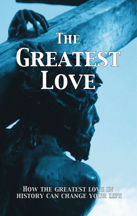## THE GREATEST LOVE

HOW THE GREATEST LOVE IN HISTORY CAN CHANGE YOUR LIFE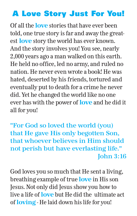## A Love Story Just For You!

Of all the **love** stories that have ever been told, one true story is far and away the greatest **love** story the world has ever known. And the story involves you! You see, nearly 2,000 years ago a man walked on this earth. He held no office, led no army, and ruled no nation. He never even wrote a book! He was hated, deserted by his friends, tortured and eventually put to death for a crime he never did. Yet he changed the world like no one ever has with the power of **love** and he did it all for you!

"For God so loved the world (you) that He gave His only begotten Son, that whoever believes in Him should not perish but have everlasting life." John 3:16

God loves you so much that He sent a living, breathing example of true **love** in His son Jesus. Not only did Jesus show you how to live a life of **love** but He did the ultimate act of **loving** - He laid down his life for you!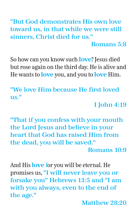"But God demonstrates His own love toward us, in that while we were still sinners, Christ died for us."

Romans 5:8

So how can you know such **love**? Jesus died but rose again on the third day. He is alive and He wants to **love** you, and you to **love** Him.

"We love Him because He first loved us."

I John 4:19

"That if you confess with your mouth the Lord Jesus and believe in your heart that God has raised Him from the dead, you will be saved."

Romans 10:9

And His**love** for you will be eternal. He promises us, "I will never leave you or forsake you" Hebrews 13:5 and "I am with you always, even to the end of the age."

Matthew 28:20